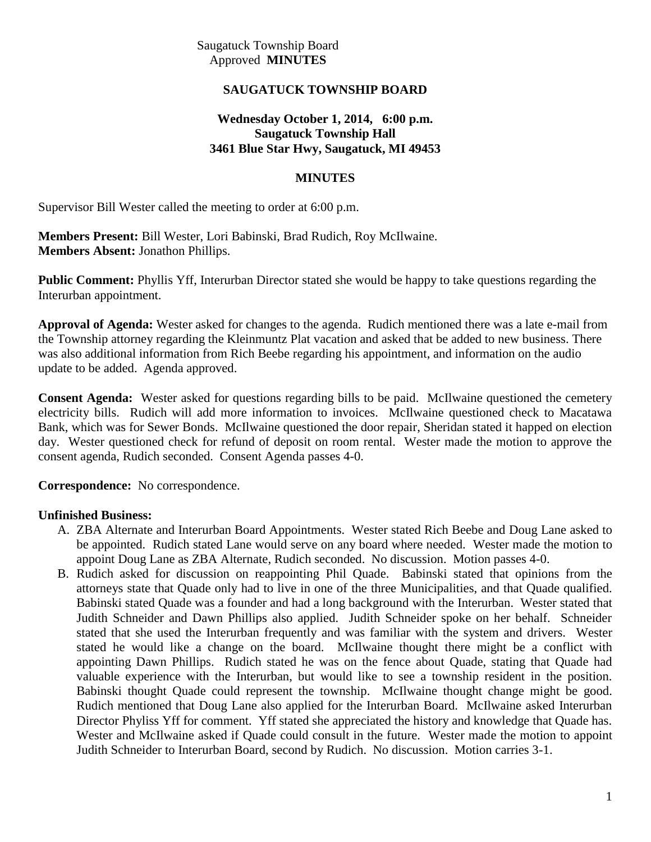Saugatuck Township Board Approved **MINUTES**

#### **SAUGATUCK TOWNSHIP BOARD**

#### **Wednesday October 1, 2014, 6:00 p.m. Saugatuck Township Hall 3461 Blue Star Hwy, Saugatuck, MI 49453**

#### **MINUTES**

Supervisor Bill Wester called the meeting to order at 6:00 p.m.

**Members Present:** Bill Wester, Lori Babinski, Brad Rudich, Roy McIlwaine. **Members Absent:** Jonathon Phillips.

**Public Comment:** Phyllis Yff, Interurban Director stated she would be happy to take questions regarding the Interurban appointment.

**Approval of Agenda:** Wester asked for changes to the agenda. Rudich mentioned there was a late e-mail from the Township attorney regarding the Kleinmuntz Plat vacation and asked that be added to new business. There was also additional information from Rich Beebe regarding his appointment, and information on the audio update to be added. Agenda approved.

**Consent Agenda:** Wester asked for questions regarding bills to be paid. McIlwaine questioned the cemetery electricity bills. Rudich will add more information to invoices. McIlwaine questioned check to Macatawa Bank, which was for Sewer Bonds. McIlwaine questioned the door repair, Sheridan stated it happed on election day. Wester questioned check for refund of deposit on room rental. Wester made the motion to approve the consent agenda, Rudich seconded. Consent Agenda passes 4-0.

**Correspondence:** No correspondence.

#### **Unfinished Business:**

- A. ZBA Alternate and Interurban Board Appointments. Wester stated Rich Beebe and Doug Lane asked to be appointed. Rudich stated Lane would serve on any board where needed. Wester made the motion to appoint Doug Lane as ZBA Alternate, Rudich seconded. No discussion. Motion passes 4-0.
- B. Rudich asked for discussion on reappointing Phil Quade. Babinski stated that opinions from the attorneys state that Quade only had to live in one of the three Municipalities, and that Quade qualified. Babinski stated Quade was a founder and had a long background with the Interurban. Wester stated that Judith Schneider and Dawn Phillips also applied. Judith Schneider spoke on her behalf. Schneider stated that she used the Interurban frequently and was familiar with the system and drivers. Wester stated he would like a change on the board. McIlwaine thought there might be a conflict with appointing Dawn Phillips. Rudich stated he was on the fence about Quade, stating that Quade had valuable experience with the Interurban, but would like to see a township resident in the position. Babinski thought Quade could represent the township. McIlwaine thought change might be good. Rudich mentioned that Doug Lane also applied for the Interurban Board. McIlwaine asked Interurban Director Phyliss Yff for comment. Yff stated she appreciated the history and knowledge that Quade has. Wester and McIlwaine asked if Quade could consult in the future. Wester made the motion to appoint Judith Schneider to Interurban Board, second by Rudich. No discussion. Motion carries 3-1.